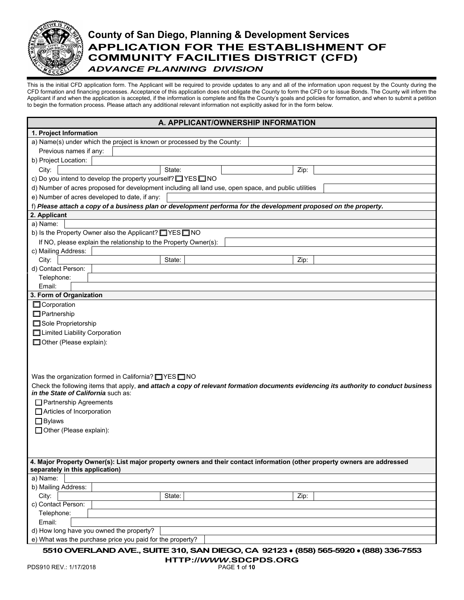

# **County of San Diego, Planning & Development Services APPLICATION FOR THE ESTABLISHMENT OF COMMUNITY FACILITIES DISTRICT (CFD)**  *ADVANCE PLANNING DIVISION*

This is the initial CFD application form. The Applicant will be required to provide updates to any and all of the information upon request by the County during the CFD formation and financing processes. Acceptance of this application does not obligate the County to form the CFD or to issue Bonds. The County will inform the Applicant if and when the application is accepted, if the information is complete and fits the County's goals and policies for formation, and when to submit a petition to begin the formation process. Please attach any additional relevant information not explicitly asked for in the form below.

| A. APPLICANT/OWNERSHIP INFORMATION                                                                                                            |
|-----------------------------------------------------------------------------------------------------------------------------------------------|
| 1. Project Information                                                                                                                        |
| a) Name(s) under which the project is known or processed by the County:                                                                       |
| Previous names if any:                                                                                                                        |
| b) Project Location:                                                                                                                          |
| City:<br>State:<br>Zip:                                                                                                                       |
| c) Do you intend to develop the property yourself? THES THO                                                                                   |
| d) Number of acres proposed for development including all land use, open space, and public utilities                                          |
| e) Number of acres developed to date, if any:                                                                                                 |
| f) Please attach a copy of a business plan or development performa for the development proposed on the property.                              |
| 2. Applicant                                                                                                                                  |
| a) Name:                                                                                                                                      |
| b) Is the Property Owner also the Applicant? NES NO                                                                                           |
| If NO, please explain the relationship to the Property Owner(s):                                                                              |
| c) Mailing Address:                                                                                                                           |
| City:<br>State:<br>Zip:                                                                                                                       |
| d) Contact Person.                                                                                                                            |
| Telephone:                                                                                                                                    |
| Email:                                                                                                                                        |
| 3. Form of Organization                                                                                                                       |
| Corporation                                                                                                                                   |
| $\Box$ Partnership                                                                                                                            |
| Sole Proprietorship                                                                                                                           |
| □ Limited Liability Corporation                                                                                                               |
| Other (Please explain):                                                                                                                       |
|                                                                                                                                               |
|                                                                                                                                               |
|                                                                                                                                               |
| Was the organization formed in California? $\Box$ YES $\Box$ NO                                                                               |
| Check the following items that apply, and attach a copy of relevant formation documents evidencing its authority to conduct business          |
| in the State of California such as:                                                                                                           |
| Partnership Agreements                                                                                                                        |
| Articles of Incorporation                                                                                                                     |
| $\Box$ Bylaws                                                                                                                                 |
| □ Other (Please explain):                                                                                                                     |
|                                                                                                                                               |
|                                                                                                                                               |
|                                                                                                                                               |
| 4. Major Property Owner(s): List major property owners and their contact information (other property owners are addressed                     |
| separately in this application)                                                                                                               |
| a) Name:                                                                                                                                      |
| b) Mailing Address:                                                                                                                           |
| City:<br>State:<br>Zip:                                                                                                                       |
| c) Contact Person:                                                                                                                            |
| Telephone:                                                                                                                                    |
| Email:                                                                                                                                        |
| d) How long have you owned the property?                                                                                                      |
| e) What was the purchase price you paid for the property?<br>5510 OVERLAND AVE SUITE 310 SAN DIEGO CA 92123 • (858) 565-5920 • (888) 336-7553 |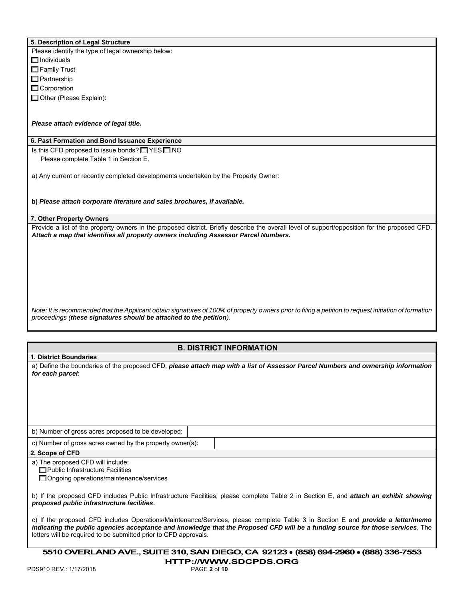|  | 5. Description of Legal Structure |  |  |  |
|--|-----------------------------------|--|--|--|
|--|-----------------------------------|--|--|--|

Please identify the type of legal ownership below:  $\Box$  Individuals □ Family Trust

□ Partnership

□ Corporation

□ Other (Please Explain):

## *Please attach evidence of legal title.*

### **6. Past Formation and Bond Issuance Experience**

Is this CFD proposed to issue bonds? ☐ YES ☐ NO Please complete Table 1 in Section E.

a) Any current or recently completed developments undertaken by the Property Owner:

**b)** *Please attach corporate literature and sales brochures, if available.*

## **7. Other Property Owners**

Provide a list of the property owners in the proposed district. Briefly describe the overall level of support/opposition for the proposed CFD. *Attach a map that identifies all property owners including Assessor Parcel Numbers.*

*Note: It is recommended that the Applicant obtain signatures of 100% of property owners prior to filing a petition to request initiation of formation proceedings (these signatures should be attached to the petition).*

## **B. DISTRICT INFORMATION**

**1. District Boundaries**

a) Define the boundaries of the proposed CFD, *please attach map with a list of Assessor Parcel Numbers and ownership information for each parcel***:**

b) Number of gross acres proposed to be developed:

c) Number of gross acres owned by the property owner(s):

### **2. Scope of CFD**

a) The proposed CFD will include:

**□ Public Infrastructure Facilities** 

**□ Ongoing operations/maintenance/services** 

b) If the proposed CFD includes Public Infrastructure Facilities, please complete Table 2 in Section E, and *attach an exhibit showing proposed public infrastructure facilities***.**

c) If the proposed CFD includes Operations/Maintenance/Services, please complete Table 3 in Section E and *provide a letter/memo indicating the public agencies acceptance and knowledge that the Proposed CFD will be a funding source for those services*. The letters will be required to be submitted prior to CFD approvals.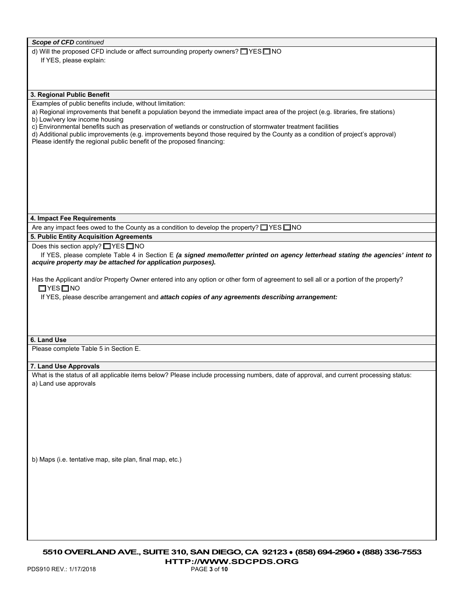|  |  |  | <b>Scope of CFD</b> continued |
|--|--|--|-------------------------------|
|--|--|--|-------------------------------|

d) Will the proposed CFD include or affect surrounding property owners? ☐ YES ☐ NO

If YES, please explain:

## **3. Regional Public Benefit**

Examples of public benefits include, without limitation:

a) Regional improvements that benefit a population beyond the immediate impact area of the project (e.g. libraries, fire stations) b) Low/very low income housing

c) Environmental benefits such as preservation of wetlands or construction of stormwater treatment facilities

d) Additional public improvements (e.g. improvements beyond those required by the County as a condition of project's approval) Please identify the regional public benefit of the proposed financing:

#### **4. Impact Fee Requirements**

Are any impact fees owed to the County as a condition to develop the property? □ YES □ NO

**5. Public Entity Acquisition Agreements**

Does this section apply? □ YES □ NO

 If YES, please complete Table 4 in Section E *(a signed memo/letter printed on agency letterhead stating the agencies' intent to acquire property may be attached for application purposes).*

Has the Applicant and/or Property Owner entered into any option or other form of agreement to sell all or a portion of the property? ☐ YES ☐ NO

If YES, please describe arrangement and *attach copies of any agreements describing arrangement:*

### **6. Land Use**

Please complete Table 5 in Section E.

## **7. Land Use Approvals**

What is the status of all applicable items below? Please include processing numbers, date of approval, and current processing status: a) Land use approvals

b) Maps (i.e. tentative map, site plan, final map, etc.)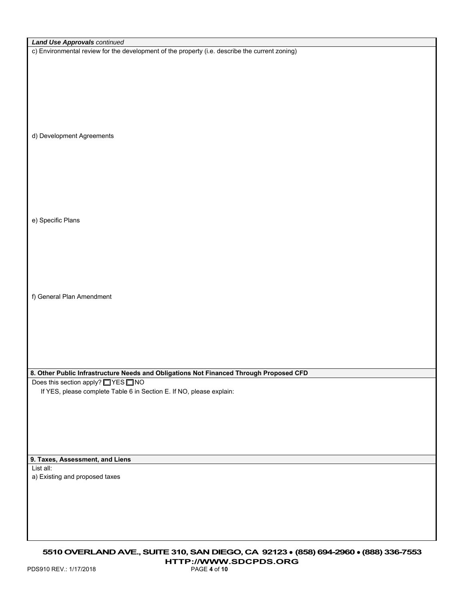| <b>Land Use Approvals continued</b>                                                            |
|------------------------------------------------------------------------------------------------|
|                                                                                                |
| c) Environmental review for the development of the property (i.e. describe the current zoning) |
|                                                                                                |
|                                                                                                |
|                                                                                                |
|                                                                                                |
|                                                                                                |
|                                                                                                |
|                                                                                                |
|                                                                                                |
|                                                                                                |
|                                                                                                |
| d) Development Agreements                                                                      |
|                                                                                                |
|                                                                                                |
|                                                                                                |
|                                                                                                |
|                                                                                                |
|                                                                                                |
|                                                                                                |
|                                                                                                |
|                                                                                                |
|                                                                                                |
| e) Specific Plans                                                                              |
|                                                                                                |
|                                                                                                |
|                                                                                                |
|                                                                                                |
|                                                                                                |
|                                                                                                |
|                                                                                                |
|                                                                                                |
|                                                                                                |
| f) General Plan Amendment                                                                      |
|                                                                                                |
|                                                                                                |
|                                                                                                |
|                                                                                                |
|                                                                                                |
|                                                                                                |
|                                                                                                |
|                                                                                                |
|                                                                                                |
| 8. Other Public Infrastructure Needs and Obligations Not Financed Through Proposed CFD         |
| Does this section apply? NES NO                                                                |
|                                                                                                |
| If YES, please complete Table 6 in Section E. If NO, please explain:                           |
|                                                                                                |
|                                                                                                |
|                                                                                                |
|                                                                                                |
|                                                                                                |
|                                                                                                |
|                                                                                                |
|                                                                                                |
| 9. Taxes, Assessment, and Liens                                                                |
| List all:                                                                                      |
| a) Existing and proposed taxes                                                                 |
|                                                                                                |
|                                                                                                |
|                                                                                                |
|                                                                                                |
|                                                                                                |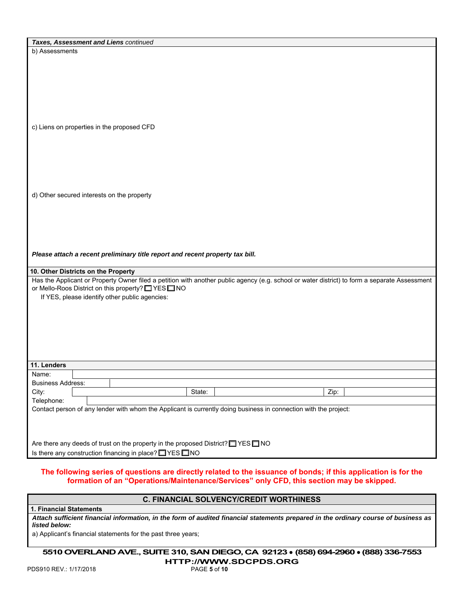| Taxes, Assessment and Liens continued                                                                                                         |        |  |      |  |
|-----------------------------------------------------------------------------------------------------------------------------------------------|--------|--|------|--|
| b) Assessments                                                                                                                                |        |  |      |  |
|                                                                                                                                               |        |  |      |  |
|                                                                                                                                               |        |  |      |  |
|                                                                                                                                               |        |  |      |  |
|                                                                                                                                               |        |  |      |  |
|                                                                                                                                               |        |  |      |  |
|                                                                                                                                               |        |  |      |  |
|                                                                                                                                               |        |  |      |  |
|                                                                                                                                               |        |  |      |  |
| c) Liens on properties in the proposed CFD                                                                                                    |        |  |      |  |
|                                                                                                                                               |        |  |      |  |
|                                                                                                                                               |        |  |      |  |
|                                                                                                                                               |        |  |      |  |
|                                                                                                                                               |        |  |      |  |
|                                                                                                                                               |        |  |      |  |
|                                                                                                                                               |        |  |      |  |
|                                                                                                                                               |        |  |      |  |
| d) Other secured interests on the property                                                                                                    |        |  |      |  |
|                                                                                                                                               |        |  |      |  |
|                                                                                                                                               |        |  |      |  |
|                                                                                                                                               |        |  |      |  |
|                                                                                                                                               |        |  |      |  |
|                                                                                                                                               |        |  |      |  |
|                                                                                                                                               |        |  |      |  |
| Please attach a recent preliminary title report and recent property tax bill.                                                                 |        |  |      |  |
|                                                                                                                                               |        |  |      |  |
| 10. Other Districts on the Property                                                                                                           |        |  |      |  |
| Has the Applicant or Property Owner filed a petition with another public agency (e.g. school or water district) to form a separate Assessment |        |  |      |  |
| or Mello-Roos District on this property? NES NO                                                                                               |        |  |      |  |
| If YES, please identify other public agencies:                                                                                                |        |  |      |  |
|                                                                                                                                               |        |  |      |  |
|                                                                                                                                               |        |  |      |  |
|                                                                                                                                               |        |  |      |  |
|                                                                                                                                               |        |  |      |  |
|                                                                                                                                               |        |  |      |  |
|                                                                                                                                               |        |  |      |  |
|                                                                                                                                               |        |  |      |  |
| 11. Lenders                                                                                                                                   |        |  |      |  |
| Name:                                                                                                                                         |        |  |      |  |
| <b>Business Address:</b>                                                                                                                      |        |  |      |  |
| City:                                                                                                                                         | State: |  | Zip: |  |
| Telephone:                                                                                                                                    |        |  |      |  |
| Contact person of any lender with whom the Applicant is currently doing business in connection with the project:                              |        |  |      |  |
|                                                                                                                                               |        |  |      |  |
|                                                                                                                                               |        |  |      |  |
|                                                                                                                                               |        |  |      |  |
| Are there any deeds of trust on the property in the proposed District? THES THO                                                               |        |  |      |  |
| Is there any construction financing in place? TYES TNO                                                                                        |        |  |      |  |
|                                                                                                                                               |        |  |      |  |

## **The following series of questions are directly related to the issuance of bonds; if this application is for the formation of an "Operations/Maintenance/Services" only CFD, this section may be skipped.**

## **C. FINANCIAL SOLVENCY/CREDIT WORTHINESS**

**1. Financial Statements**

*Attach sufficient financial information, in the form of audited financial statements prepared in the ordinary course of business as listed below:* 

a) Applicant's financial statements for the past three years;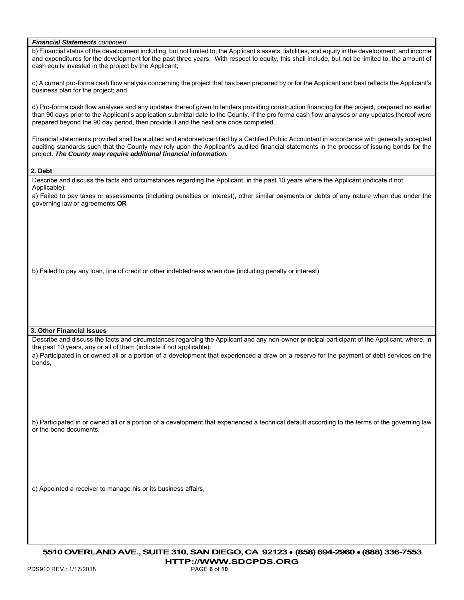|  | <b>Financial Statements continued</b> |  |
|--|---------------------------------------|--|
|--|---------------------------------------|--|

b) Financial status of the development including, but not limited to, the Applicant's assets, liabilities, and equity in the development, and income and expenditures for the development for the past three years. With respect to equity, this shall include, but not be limited to, the amount of cash equity invested in the project by the Applicant;

c) A current pro-forma cash flow analysis concerning the project that has been prepared by or for the Applicant and best reflects the Applicant's business plan for the project; and

d) Pro-forma cash flow analyses and any updates thereof given to lenders providing construction financing for the project, prepared no earlier than 90 days prior to the Applicant's application submittal date to the County. If the pro forma cash flow analyses or any updates thereof were prepared beyond the 90 day period, then provide it and the next one once completed.

Financial statements provided shall be audited and endorsed/certified by a Certified Public Accountant in accordance with generally accepted auditing standards such that the County may rely upon the Applicant's audited financial statements in the process of issuing bonds for the project. *The County may require additional financial information.*

**2. Debt**

Describe and discuss the facts and circumstances regarding the Applicant, in the past 10 years where the Applicant (indicate if not Applicable):

a) Failed to pay taxes or assessments (including penalties or interest), other similar payments or debts of any nature when due under the governing law or agreements **OR**

b) Failed to pay any loan, line of credit or other indebtedness when due (including penalty or interest)

#### **3. Other Financial Issues**

Describe and discuss the facts and circumstances regarding the Applicant and any non-owner principal participant of the Applicant, where, in the past 10 years, any or all of them (indicate if not applicable):

a) Participated in or owned all or a portion of a development that experienced a draw on a reserve for the payment of debt services on the bonds,

b) Participated in or owned all or a portion of a development that experienced a technical default according to the terms of the governing law or the bond documents,

c) Appointed a receiver to manage his or its business affairs,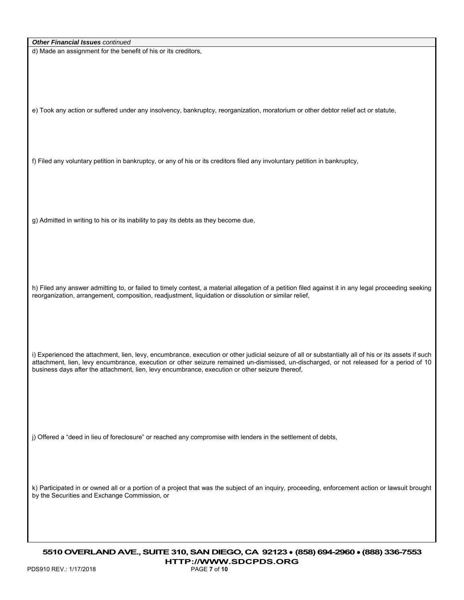d) Made an assignment for the benefit of his or its creditors,

e) Took any action or suffered under any insolvency, bankruptcy, reorganization, moratorium or other debtor relief act or statute,

f) Filed any voluntary petition in bankruptcy, or any of his or its creditors filed any involuntary petition in bankruptcy,

g) Admitted in writing to his or its inability to pay its debts as they become due,

h) Filed any answer admitting to, or failed to timely contest, a material allegation of a petition filed against it in any legal proceeding seeking reorganization, arrangement, composition, readjustment, liquidation or dissolution or similar relief,

i) Experienced the attachment, lien, levy, encumbrance, execution or other judicial seizure of all or substantially all of his or its assets if such attachment, lien, levy encumbrance, execution or other seizure remained un-dismissed, un-discharged, or not released for a period of 10 business days after the attachment, lien, levy encumbrance, execution or other seizure thereof,

j) Offered a "deed in lieu of foreclosure" or reached any compromise with lenders in the settlement of debts,

k) Participated in or owned all or a portion of a project that was the subject of an inquiry, proceeding, enforcement action or lawsuit brought by the Securities and Exchange Commission, or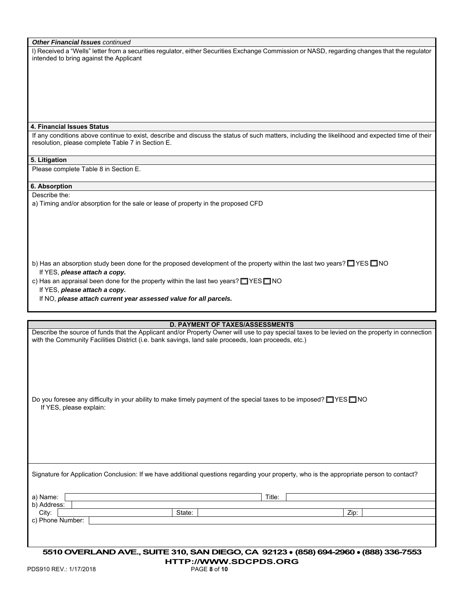|  |  |  | <b>Other Financial Issues continued</b> |
|--|--|--|-----------------------------------------|
|--|--|--|-----------------------------------------|

l) Received a "Wells" letter from a securities regulator, either Securities Exchange Commission or NASD, regarding changes that the regulator intended to bring against the Applicant

#### **4. Financial Issues Status**

If any conditions above continue to exist, describe and discuss the status of such matters, including the likelihood and expected time of their resolution, please complete Table 7 in Section E.

#### **5. Litigation**

Please complete Table 8 in Section E.

## **6. Absorption**

Describe the:

a) Timing and/or absorption for the sale or lease of property in the proposed CFD

b) Has an absorption study been done for the proposed development of the property within the last two years? □ YES □ NO If YES, *please attach a copy.*

c) Has an appraisal been done for the property within the last two years? □ YES □ NO

If YES, *please attach a copy.*

If NO, *please attach current year assessed value for all parcels.*

**D. PAYMENT OF TAXES/ASSESSMENTS**

| PDS910 REV: 1/17/2018   | 5510 OVERLAND AVE., SUITE 310, SAN DIEGO, CA 92123 • (858) 694-2960 • (888) 336-7553<br><b>HTTP://WWW.SDCPDS.ORG</b><br>PAGE 8 of 10     |        |                                                                                                                                                |
|-------------------------|------------------------------------------------------------------------------------------------------------------------------------------|--------|------------------------------------------------------------------------------------------------------------------------------------------------|
|                         |                                                                                                                                          |        |                                                                                                                                                |
| c) Phone Number:        |                                                                                                                                          |        |                                                                                                                                                |
| b) Address:<br>City:    | State:                                                                                                                                   |        | Zip:                                                                                                                                           |
| a) Name:                |                                                                                                                                          | Title: |                                                                                                                                                |
|                         | Signature for Application Conclusion: If we have additional questions regarding your property, who is the appropriate person to contact? |        |                                                                                                                                                |
|                         |                                                                                                                                          |        |                                                                                                                                                |
|                         |                                                                                                                                          |        |                                                                                                                                                |
| If YES, please explain: | Do you foresee any difficulty in your ability to make timely payment of the special taxes to be imposed? $\Box$ YES $\Box$ NO            |        |                                                                                                                                                |
|                         |                                                                                                                                          |        |                                                                                                                                                |
|                         |                                                                                                                                          |        |                                                                                                                                                |
|                         | with the Community Facilities District (i.e. bank savings, land sale proceeds, loan proceeds, etc.)                                      |        |                                                                                                                                                |
|                         |                                                                                                                                          |        | Describe the source of funds that the Applicant and/or Property Owner will use to pay special taxes to be levied on the property in connection |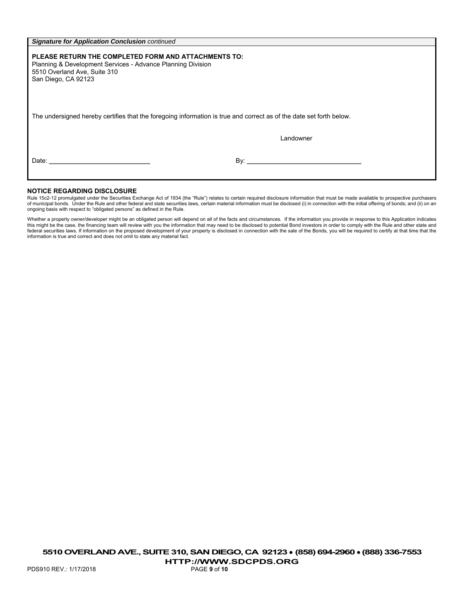| <b>Signature for Application Conclusion continued</b>                                                                                                                      |           |
|----------------------------------------------------------------------------------------------------------------------------------------------------------------------------|-----------|
| PLEASE RETURN THE COMPLETED FORM AND ATTACHMENTS TO:<br>Planning & Development Services - Advance Planning Division<br>5510 Overland Ave, Suite 310<br>San Diego, CA 92123 |           |
| The undersigned hereby certifies that the foregoing information is true and correct as of the date set forth below.                                                        | Landowner |
| Date: <u>______________________________</u>                                                                                                                                |           |

#### **NOTICE REGARDING DISCLOSURE**

Rule 15c2-12 promulgated under the Securities Exchange Act of 1934 (the "Rule") relates to certain required disclosure information that must be made available to prospective purchasers of municipal bonds. Under the Rule and other federal and state securities laws, certain material information must be disclosed (i) in connection with the initial offering of bonds; and (ii) on an ongoing basis with respect to "obligated persons" as defined in the Rule.

Whether a property owner/developer might be an obligated person will depend on all of the facts and circumstances. If the information you provide in response to this Application indicates this might be the case, the financing team will review with you the information that may need to be disclosed to potential Bond investors in order to comply with the Rule and other state and<br>federal securities laws. If inf